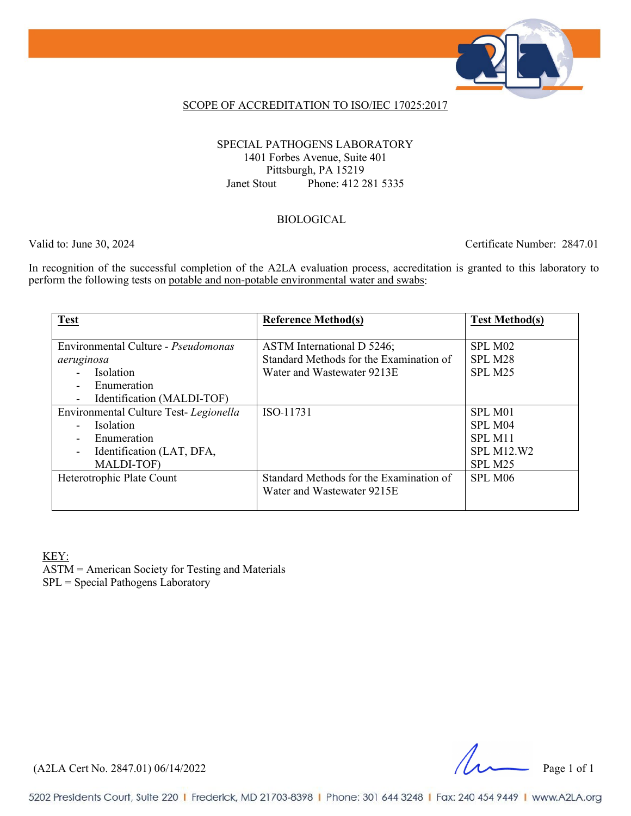

### SCOPE OF ACCREDITATION TO ISO/IEC 17025:2017

### SPECIAL PATHOGENS LABORATORY 1401 Forbes Avenue, Suite 401 Pittsburgh, PA 15219 Janet Stout Phone: 412 281 5335

#### BIOLOGICAL

Valid to: June 30, 2024 Certificate Number: 2847.01

In recognition of the successful completion of the A2LA evaluation process, accreditation is granted to this laboratory to perform the following tests on potable and non-potable environmental water and swabs:

| <b>Test</b>                                | <b>Reference Method(s)</b>              | <b>Test Method(s)</b> |
|--------------------------------------------|-----------------------------------------|-----------------------|
|                                            |                                         |                       |
| Environmental Culture - <i>Pseudomonas</i> | ASTM International D 5246;              | SPL M02               |
| aeruginosa                                 | Standard Methods for the Examination of | SPL M28               |
| Isolation                                  | Water and Wastewater 9213E              | SPL M25               |
| Enumeration                                |                                         |                       |
| Identification (MALDI-TOF)                 |                                         |                       |
| Environmental Culture Test-Legionella      | ISO 11731                               | SPL M <sub>01</sub>   |
| Isolation                                  |                                         | SPL M04               |
| Enumeration                                |                                         | SPL M11               |
| Identification (LAT, DFA,                  |                                         | <b>SPL M12.W2</b>     |
| MALDI-TOF)                                 |                                         | SPL M <sub>25</sub>   |
| Heterotrophic Plate Count                  | Standard Methods for the Examination of | SPL M <sub>06</sub>   |
|                                            | Water and Wastewater 9215E              |                       |
|                                            |                                         |                       |

KEY:

ASTM = American Society for Testing and Materials SPL = Special Pathogens Laboratory

(A2LA Cert No. 2847.01) 06/14/2022 Page 1 of 1